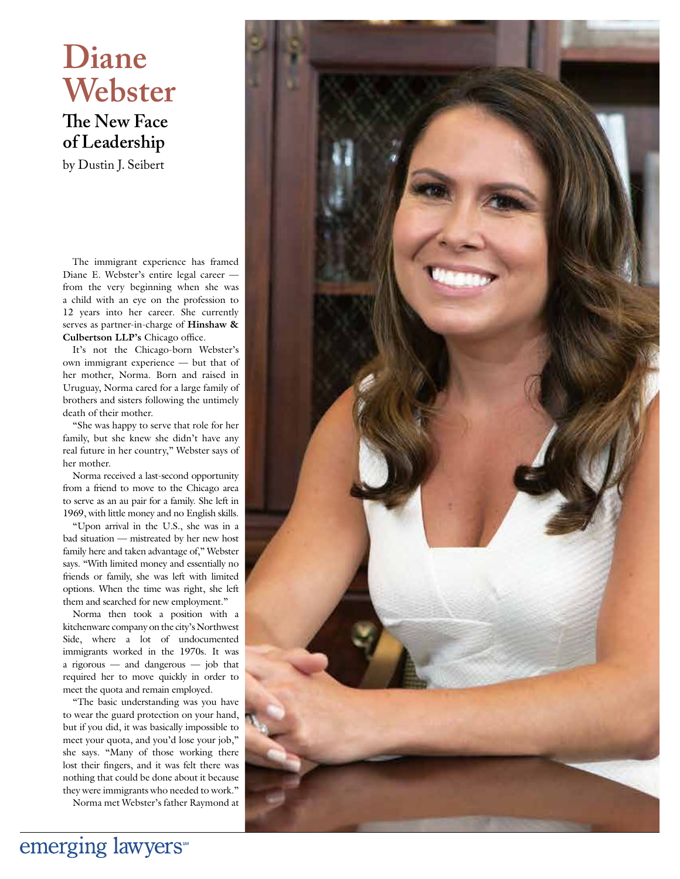# **Diane Webster**

**The New Face of Leadership**

by Dustin J. Seibert

The immigrant experience has framed Diane E. Webster's entire legal career from the very beginning when she was a child with an eye on the profession to 12 years into her career. She currently serves as partner-in-charge of **Hinshaw & Culbertson LLP's Chicago office.** 

It's not the Chicago-born Webster's own immigrant experience — but that of her mother, Norma. Born and raised in Uruguay, Norma cared for a large family of brothers and sisters following the untimely death of their mother.

"She was happy to serve that role for her family, but she knew she didn't have any real future in her country," Webster says of her mother.

Norma received a last-second opportunity from a friend to move to the Chicago area to serve as an au pair for a family. She left in 1969, with little money and no English skills.

"Upon arrival in the U.S., she was in a bad situation — mistreated by her new host family here and taken advantage of," Webster says. "With limited money and essentially no friends or family, she was left with limited options. When the time was right, she left them and searched for new employment."

Norma then took a position with a kitchenware company on the city's Northwest Side, where a lot of undocumented immigrants worked in the 1970s. It was a rigorous — and dangerous — job that required her to move quickly in order to meet the quota and remain employed.

"The basic understanding was you have to wear the guard protection on your hand, but if you did, it was basically impossible to meet your quota, and you'd lose your job," she says. "Many of those working there lost their fingers, and it was felt there was nothing that could be done about it because they were immigrants who needed to work."

Norma met Webster's father Raymond at

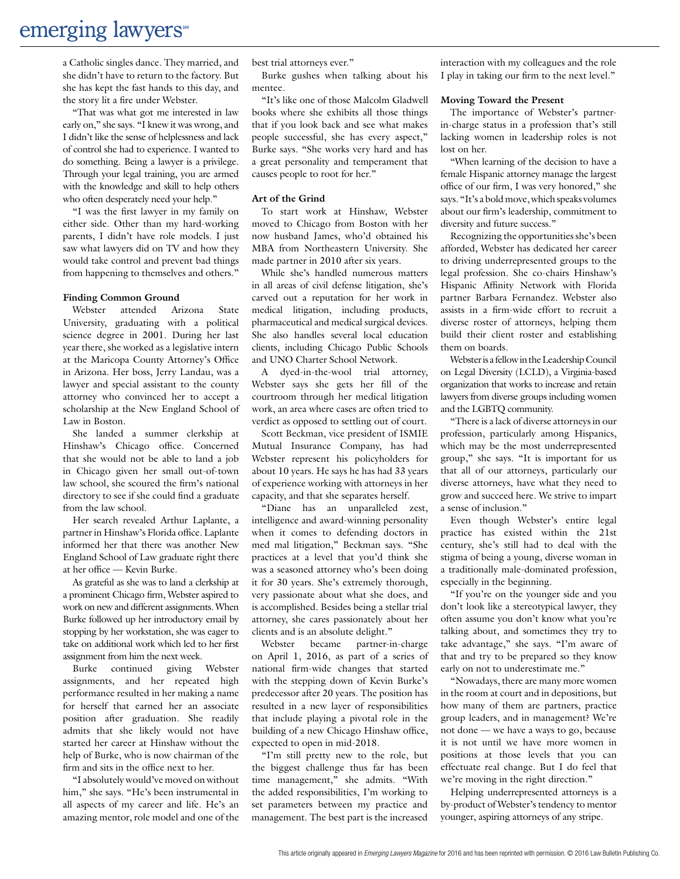### emerging lawyers

a Catholic singles dance. They married, and she didn't have to return to the factory. But she has kept the fast hands to this day, and the story lit a fire under Webster.

"That was what got me interested in law early on," she says. "I knew it was wrong, and I didn't like the sense of helplessness and lack of control she had to experience. I wanted to do something. Being a lawyer is a privilege. Through your legal training, you are armed with the knowledge and skill to help others who often desperately need your help."

"I was the first lawyer in my family on either side. Other than my hard-working parents, I didn't have role models. I just saw what lawyers did on TV and how they would take control and prevent bad things from happening to themselves and others."

#### **Finding Common Ground**

Webster attended Arizona State University, graduating with a political science degree in 2001. During her last year there, she worked as a legislative intern at the Maricopa County Attorney's Office in Arizona. Her boss, Jerry Landau, was a lawyer and special assistant to the county attorney who convinced her to accept a scholarship at the New England School of Law in Boston.

She landed a summer clerkship at Hinshaw's Chicago office. Concerned that she would not be able to land a job in Chicago given her small out-of-town law school, she scoured the firm's national directory to see if she could find a graduate from the law school.

Her search revealed Arthur Laplante, a partner in Hinshaw's Florida office. Laplante informed her that there was another New England School of Law graduate right there at her office — Kevin Burke.

As grateful as she was to land a clerkship at a prominent Chicago firm, Webster aspired to work on new and different assignments. When Burke followed up her introductory email by stopping by her workstation, she was eager to take on additional work which led to her first assignment from him the next week.

Burke continued giving Webster assignments, and her repeated high performance resulted in her making a name for herself that earned her an associate position after graduation. She readily admits that she likely would not have started her career at Hinshaw without the help of Burke, who is now chairman of the firm and sits in the office next to her.

"I absolutely would've moved on without him," she says. "He's been instrumental in all aspects of my career and life. He's an amazing mentor, role model and one of the best trial attorneys ever."

Burke gushes when talking about his mentee.

"It's like one of those Malcolm Gladwell books where she exhibits all those things that if you look back and see what makes people successful, she has every aspect," Burke says. "She works very hard and has a great personality and temperament that causes people to root for her."

#### **Art of the Grind**

To start work at Hinshaw, Webster moved to Chicago from Boston with her now husband James, who'd obtained his MBA from Northeastern University. She made partner in 2010 after six years.

While she's handled numerous matters in all areas of civil defense litigation, she's carved out a reputation for her work in medical litigation, including products, pharmaceutical and medical surgical devices. She also handles several local education clients, including Chicago Public Schools and UNO Charter School Network.

A dyed-in-the-wool trial attorney, Webster says she gets her fill of the courtroom through her medical litigation work, an area where cases are often tried to verdict as opposed to settling out of court.

Scott Beckman, vice president of ISMIE Mutual Insurance Company, has had Webster represent his policyholders for about 10 years. He says he has had 33 years of experience working with attorneys in her capacity, and that she separates herself.

"Diane has an unparalleled zest, intelligence and award-winning personality when it comes to defending doctors in med mal litigation," Beckman says. "She practices at a level that you'd think she was a seasoned attorney who's been doing it for 30 years. She's extremely thorough, very passionate about what she does, and is accomplished. Besides being a stellar trial attorney, she cares passionately about her clients and is an absolute delight."

Webster became partner-in-charge on April 1, 2016, as part of a series of national firm-wide changes that started with the stepping down of Kevin Burke's predecessor after 20 years. The position has resulted in a new layer of responsibilities that include playing a pivotal role in the building of a new Chicago Hinshaw office, expected to open in mid-2018.

"I'm still pretty new to the role, but the biggest challenge thus far has been time management," she admits. "With the added responsibilities, I'm working to set parameters between my practice and management. The best part is the increased

interaction with my colleagues and the role I play in taking our firm to the next level."

#### **Moving Toward the Present**

The importance of Webster's partnerin-charge status in a profession that's still lacking women in leadership roles is not lost on her.

"When learning of the decision to have a female Hispanic attorney manage the largest office of our firm, I was very honored," she says. "It's a bold move, which speaks volumes about our firm's leadership, commitment to diversity and future success."

Recognizing the opportunities she's been afforded, Webster has dedicated her career to driving underrepresented groups to the legal profession. She co-chairs Hinshaw's Hispanic Affinity Network with Florida partner Barbara Fernandez. Webster also assists in a firm-wide effort to recruit a diverse roster of attorneys, helping them build their client roster and establishing them on boards.

Webster is a fellow in the Leadership Council on Legal Diversity (LCLD), a Virginia-based organization that works to increase and retain lawyers from diverse groups including women and the LGBTQ community.

"There is a lack of diverse attorneys in our profession, particularly among Hispanics, which may be the most underrepresented group," she says. "It is important for us that all of our attorneys, particularly our diverse attorneys, have what they need to grow and succeed here. We strive to impart a sense of inclusion."

Even though Webster's entire legal practice has existed within the 21st century, she's still had to deal with the stigma of being a young, diverse woman in a traditionally male-dominated profession, especially in the beginning.

"If you're on the younger side and you don't look like a stereotypical lawyer, they often assume you don't know what you're talking about, and sometimes they try to take advantage," she says. "I'm aware of that and try to be prepared so they know early on not to underestimate me."

"Nowadays, there are many more women in the room at court and in depositions, but how many of them are partners, practice group leaders, and in management? We're not done — we have a ways to go, because it is not until we have more women in positions at those levels that you can effectuate real change. But I do feel that we're moving in the right direction."

Helping underrepresented attorneys is a by-product of Webster's tendency to mentor younger, aspiring attorneys of any stripe.